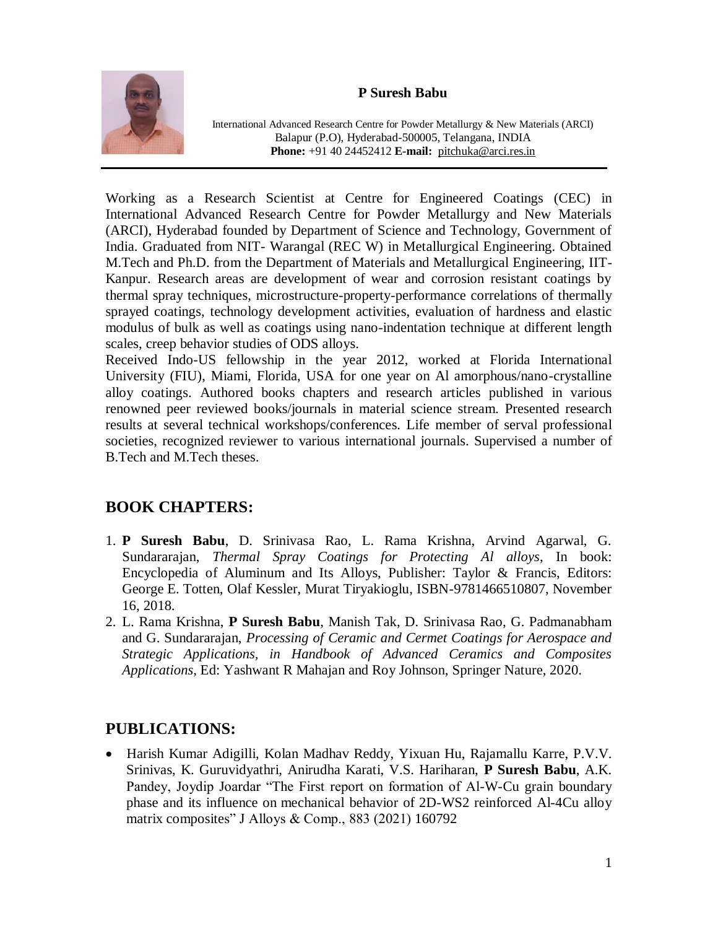## **P Suresh Babu**



International Advanced Research Centre for Powder Metallurgy & New Materials (ARCI) Balapur (P.O), Hyderabad-500005, Telangana, INDIA **Phone:** +91 40 24452412 **E-mail:** [pitchuka@arci.res.in](mailto:pitchuka@arci.res.in)

Working as a Research Scientist at Centre for Engineered Coatings (CEC) in International Advanced Research Centre for Powder Metallurgy and New Materials (ARCI), Hyderabad founded by Department of Science and Technology, Government of India. Graduated from NIT- Warangal (REC W) in Metallurgical Engineering. Obtained M.Tech and Ph.D. from the Department of Materials and Metallurgical Engineering, IIT-Kanpur. Research areas are development of wear and corrosion resistant coatings by thermal spray techniques, microstructure-property-performance correlations of thermally sprayed coatings, technology development activities, evaluation of hardness and elastic modulus of bulk as well as coatings using nano-indentation technique at different length scales, creep behavior studies of ODS alloys.

Received Indo-US fellowship in the year 2012, worked at Florida International University (FIU), Miami, Florida, USA for one year on Al amorphous/nano-crystalline alloy coatings. Authored books chapters and research articles published in various renowned peer reviewed books/journals in material science stream. Presented research results at several technical workshops/conferences. Life member of serval professional societies, recognized reviewer to various international journals. Supervised a number of B.Tech and M.Tech theses.

## **BOOK CHAPTERS:**

- 1. **P Suresh Babu**, D. Srinivasa Rao, L. Rama Krishna, Arvind Agarwal, G. Sundararajan, *Thermal Spray Coatings for Protecting Al alloys*, In book: Encyclopedia of Aluminum and Its Alloys, Publisher: Taylor & Francis, Editors: George E. Totten, Olaf Kessler, Murat Tiryakioglu, ISBN-9781466510807, November 16, 2018.
- 2. L. Rama Krishna, **P Suresh Babu**, Manish Tak, D. Srinivasa Rao, G. Padmanabham and G. Sundararajan, *Processing of Ceramic and Cermet Coatings for Aerospace and Strategic Applications, in Handbook of Advanced Ceramics and Composites Applications*, Ed: Yashwant R Mahajan and Roy Johnson, Springer Nature, 2020.

## **PUBLICATIONS:**

 Harish Kumar Adigilli, Kolan Madhav Reddy, Yixuan Hu, Rajamallu Karre, P.V.V. Srinivas, K. Guruvidyathri, Anirudha Karati, V.S. Hariharan, **P Suresh Babu**, A.K. Pandey, Joydip Joardar "The First report on formation of Al-W-Cu grain boundary phase and its influence on mechanical behavior of 2D-WS2 reinforced Al-4Cu alloy matrix composites" J Alloys & Comp., 883 (2021) 160792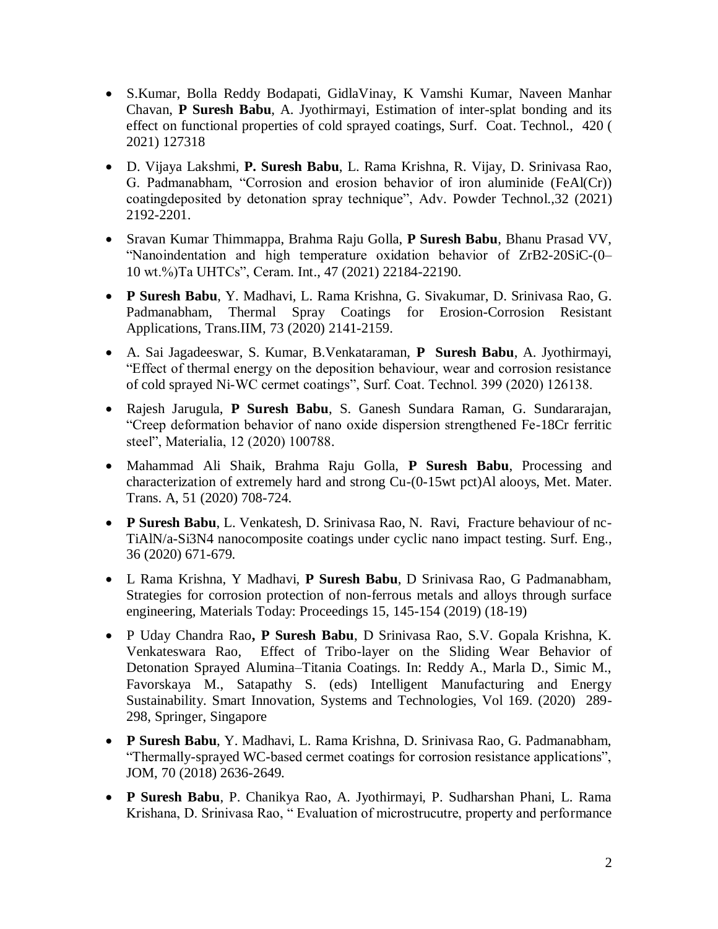- [S.Kumar,](https://www.sciencedirect.com/science/article/pii/S0257897221004928?via%3Dihub#!) [Bolla Reddy Bodapati,](https://www.sciencedirect.com/science/article/pii/S0257897221004928?via%3Dihub#!) [GidlaVinay,](https://www.sciencedirect.com/science/article/pii/S0257897221004928?via%3Dihub#!) [K Vamshi Kumar, Naveen Manhar](https://www.sciencedirect.com/science/article/pii/S0257897221004928?via%3Dihub#!)  [Chavan,](https://www.sciencedirect.com/science/article/pii/S0257897221004928?via%3Dihub#!) **[P Suresh Babu](https://www.sciencedirect.com/science/article/pii/S0257897221004928?via%3Dihub#!)**, [A. Jyothirmayi,](https://www.sciencedirect.com/science/article/pii/S0257897221004928?via%3Dihub#!) Estimation of inter-splat bonding and its effect on functional properties of cold sprayed coatings, Surf. Coat. Technol., [420](https://www.sciencedirect.com/science/journal/02578972/420/supp/C) ( 2021) 127318
- D. Vijaya Lakshmi, **P. Suresh Babu**, L. Rama Krishna, R. Vijay, D. Srinivasa Rao, G. Padmanabham, "Corrosion and erosion behavior of iron aluminide (FeAl(Cr)) coatingdeposited by detonation spray technique", Adv. Powder Technol.,32 (2021) 2192-2201.
- Sravan Kumar Thimmappa, Brahma Raju Golla, **P Suresh Babu**, Bhanu Prasad VV, "Nanoindentation and high temperature oxidation behavior of ZrB2-20SiC-(0– 10 wt.%)Ta UHTCs", Ceram. Int., 47 (2021) 22184-22190.
- **P Suresh Babu**, Y. Madhavi, L. Rama Krishna, G. Sivakumar, D. Srinivasa Rao, G. Padmanabham, Thermal Spray Coatings for Erosion-Corrosion Resistant Applications, Trans.IIM, 73 (2020) 2141-2159.
- A. Sai Jagadeeswar, S. Kumar, B.Venkataraman, **P Suresh Babu**, A. Jyothirmayi, "Effect of thermal energy on the deposition behaviour, wear and corrosion resistance of cold sprayed Ni-WC cermet coatings", Surf. Coat. Technol. 399 (2020) 126138.
- Rajesh Jarugula, **P Suresh Babu**, S. Ganesh Sundara Raman, G. Sundararajan, "Creep deformation behavior of nano oxide dispersion strengthened Fe-18Cr ferritic steel", Materialia, 12 (2020) 100788.
- Mahammad Ali Shaik, Brahma Raju Golla, **P Suresh Babu**, Processing and characterization of extremely hard and strong Cu-(0-15wt pct)Al alooys, Met. Mater. Trans. A, 51 (2020) 708-724.
- **P Suresh Babu**, L. Venkatesh, D. Srinivasa Rao, N. Ravi, Fracture behaviour of nc-TiAlN/a-Si3N4 nanocomposite coatings under cyclic nano impact testing. Surf. Eng., 36 (2020) 671-679.
- L Rama Krishna, Y Madhavi, **P Suresh Babu**, D Srinivasa Rao, G Padmanabham, Strategies for corrosion protection of non-ferrous metals and alloys through surface engineering, Materials Today: Proceedings 15, 145-154 (2019) (18-19)
- P Uday Chandra Rao**, P Suresh Babu**, D Srinivasa Rao, S.V. Gopala Krishna, K. Venkateswara Rao, Effect of Tribo-layer on the Sliding Wear Behavior of Detonation Sprayed Alumina–Titania Coatings. In: Reddy A., Marla D., Simic M., Favorskaya M., Satapathy S. (eds) Intelligent Manufacturing and Energy Sustainability. Smart Innovation, Systems and Technologies, Vol 169. (2020) 289- 298, Springer, Singapore
- **P Suresh Babu**, Y. Madhavi, L. Rama Krishna, D. Srinivasa Rao, G. Padmanabham, "Thermally-sprayed WC-based cermet coatings for corrosion resistance applications", JOM, 70 (2018) 2636-2649.
- **P Suresh Babu**, P. Chanikya Rao, A. Jyothirmayi, P. Sudharshan Phani, L. Rama Krishana, D. Srinivasa Rao, " Evaluation of microstrucutre, property and performance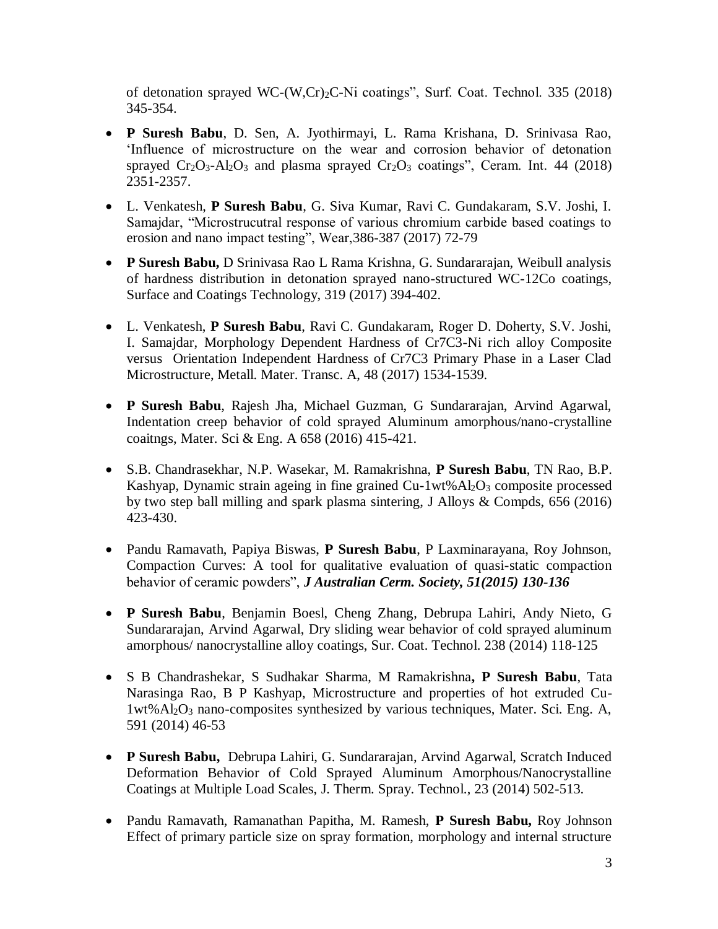of detonation sprayed WC-(W,Cr)2C-Ni coatings", Surf. Coat. Technol. 335 (2018) 345-354.

- **P Suresh Babu**, D. Sen, A. Jyothirmayi, L. Rama Krishana, D. Srinivasa Rao, 'Influence of microstructure on the wear and corrosion behavior of detonation sprayed  $Cr_2O_3$ -Al<sub>2</sub>O<sub>3</sub> and plasma sprayed  $Cr_2O_3$  coatings", Ceram. Int. 44 (2018) 2351-2357.
- L. Venkatesh, **P Suresh Babu**, G. Siva Kumar, Ravi C. Gundakaram, S.V. Joshi, I. Samajdar, "Microstrucutral response of various chromium carbide based coatings to erosion and nano impact testing", Wear,386-387 (2017) 72-79
- **P Suresh Babu,** D Srinivasa Rao L Rama Krishna, G. Sundararajan, Weibull analysis of hardness distribution in detonation sprayed nano-structured WC-12Co coatings, Surface and Coatings Technology, 319 (2017) 394-402.
- L. Venkatesh, **P Suresh Babu**, Ravi C. Gundakaram, Roger D. Doherty, S.V. Joshi, I. Samajdar, Morphology Dependent Hardness of Cr7C3-Ni rich alloy Composite versus Orientation Independent Hardness of Cr7C3 Primary Phase in a Laser Clad Microstructure, Metall. Mater. Transc. A, 48 (2017) 1534-1539.
- **P Suresh Babu**, Rajesh Jha, Michael Guzman, G Sundararajan, Arvind Agarwal, Indentation creep behavior of cold sprayed Aluminum amorphous/nano-crystalline coaitngs, Mater. Sci & Eng. A 658 (2016) 415-421.
- S.B. Chandrasekhar, N.P. Wasekar, M. Ramakrishna, **P Suresh Babu**, TN Rao, B.P. Kashyap, Dynamic strain ageing in fine grained Cu-1wt%Al<sub>2</sub>O<sub>3</sub> composite processed by two step ball milling and spark plasma sintering, J Alloys & Compds, 656 (2016) 423-430.
- Pandu Ramavath, Papiya Biswas, **P Suresh Babu**, P Laxminarayana, Roy Johnson, Compaction Curves: A tool for qualitative evaluation of quasi-static compaction behavior of ceramic powders", *J Australian Cerm. Society, 51(2015) 130-136*
- **P Suresh Babu**, Benjamin Boesl, Cheng Zhang, Debrupa Lahiri, Andy Nieto, G Sundararajan, Arvind Agarwal, Dry sliding wear behavior of cold sprayed aluminum amorphous/ nanocrystalline alloy coatings, Sur. Coat. Technol. 238 (2014) 118-125
- S B Chandrashekar, S Sudhakar Sharma, M Ramakrishna**, P Suresh Babu**, Tata Narasinga Rao, B P Kashyap, Microstructure and properties of hot extruded Cu-1wt%Al2O<sup>3</sup> nano-composites synthesized by various techniques, Mater. Sci. Eng. A, 591 (2014) 46-53
- **P Suresh Babu,** Debrupa Lahiri, G. Sundararajan, Arvind Agarwal, Scratch Induced Deformation Behavior of Cold Sprayed Aluminum Amorphous/Nanocrystalline Coatings at Multiple Load Scales, J. Therm. Spray. Technol., 23 (2014) 502-513.
- Pandu Ramavath, Ramanathan Papitha, M. Ramesh, **P Suresh Babu,** Roy Johnson Effect of primary particle size on spray formation, morphology and internal structure